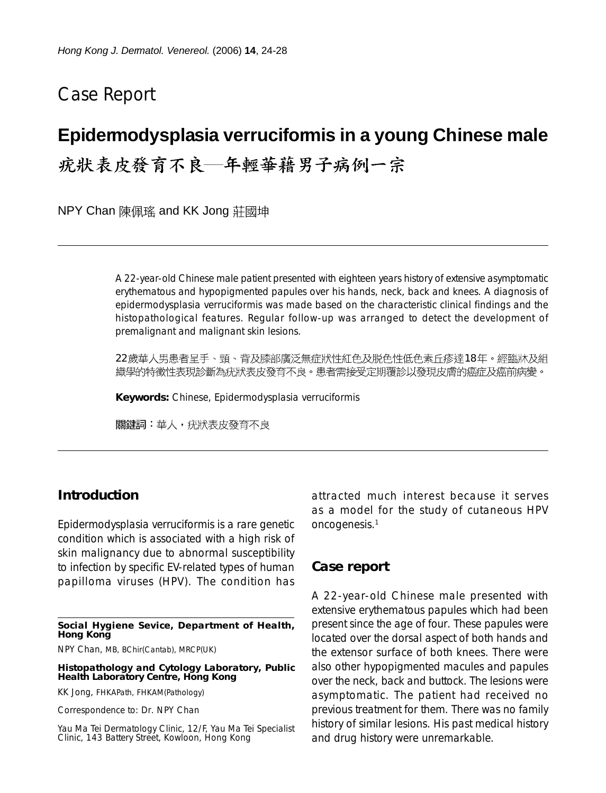# Case Report

## **Epidermodysplasia verruciformis in a young Chinese male**

疣狀表皮發育不良–年輕華藉男子病例一宗

NPY Chan 陳佩瑤 and KK Jong 莊國坤

A 22-year-old Chinese male patient presented with eighteen years history of extensive asymptomatic erythematous and hypopigmented papules over his hands, neck, back and knees. A diagnosis of epidermodysplasia verruciformis was made based on the characteristic clinical findings and the histopathological features. Regular follow-up was arranged to detect the development of premalignant and malignant skin lesions.

22歲華人男患者呈手、頸、背及膝部廣泛無症狀性紅色及脱色性低色素丘疹達18年。經臨牀及組 織學的特徵性表現診斷為疣狀表皮發育不良。患者需接受定期覆診以發現皮膚的癌症及癌前病變。

**Keywords:** Chinese, Epidermodysplasia verruciformis

關鍵詞:華人,疣狀表皮發育不良

#### **Introduction**

Epidermodysplasia verruciformis is a rare genetic condition which is associated with a high risk of skin malignancy due to abnormal susceptibility to infection by specific EV-related types of human papilloma viruses (HPV). The condition has

**Social Hygiene Sevice, Department of Health, Hong Kong**

NPY Chan, MB, BChir(Cantab), MRCP(UK)

**Histopathology and Cytology Laboratory, Public Health Laboratory Centre, Hong Kong**

KK Jong, FHKAPath, FHKAM(Pathology)

Correspondence to: Dr. NPY Chan

Yau Ma Tei Dermatology Clinic, 12/F, Yau Ma Tei Specialist Clinic, 143 Battery Street, Kowloon, Hong Kong

attracted much interest because it serves as a model for the study of cutaneous HPV oncogenesis.1

#### **Case report**

A 22-year-old Chinese male presented with extensive erythematous papules which had been present since the age of four. These papules were located over the dorsal aspect of both hands and the extensor surface of both knees. There were also other hypopigmented macules and papules over the neck, back and buttock. The lesions were asymptomatic. The patient had received no previous treatment for them. There was no family history of similar lesions. His past medical history and drug history were unremarkable.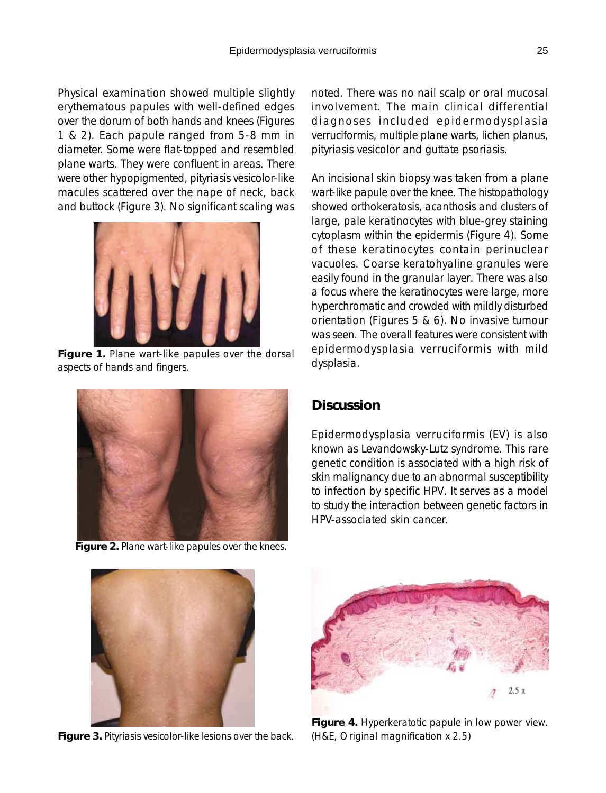Physical examination showed multiple slightly erythematous papules with well-defined edges over the dorum of both hands and knees (Figures 1 & 2). Each papule ranged from 5-8 mm in diameter. Some were flat-topped and resembled plane warts. They were confluent in areas. There were other hypopigmented, pityriasis vesicolor-like macules scattered over the nape of neck, back and buttock (Figure 3). No significant scaling was



**Figure 1.** Plane wart-like papules over the dorsal aspects of hands and fingers.



**Figure 2.** Plane wart-like papules over the knees.

noted. There was no nail scalp or oral mucosal involvement. The main clinical differential diagnoses included epidermodysplasia verruciformis, multiple plane warts, lichen planus, pityriasis vesicolor and guttate psoriasis.

An incisional skin biopsy was taken from a plane wart-like papule over the knee. The histopathology showed orthokeratosis, acanthosis and clusters of large, pale keratinocytes with blue-grey staining cytoplasm within the epidermis (Figure 4). Some of these keratinocytes contain perinuclear vacuoles. Coarse keratohyaline granules were easily found in the granular layer. There was also a focus where the keratinocytes were large, more hyperchromatic and crowded with mildly disturbed orientation (Figures 5 & 6). No invasive tumour was seen. The overall features were consistent with epidermodysplasia verruciformis with mild dysplasia.

### **Discussion**

Epidermodysplasia verruciformis (EV) is also known as Levandowsky-Lutz syndrome. This rare genetic condition is associated with a high risk of skin malignancy due to an abnormal susceptibility to infection by specific HPV. It serves as a model to study the interaction between genetic factors in HPV-associated skin cancer.



**Figure 3.** Pityriasis vesicolor-like lesions over the back.



**Figure 4.** Hyperkeratotic papule in low power view. (H&E, Original magnification x 2.5)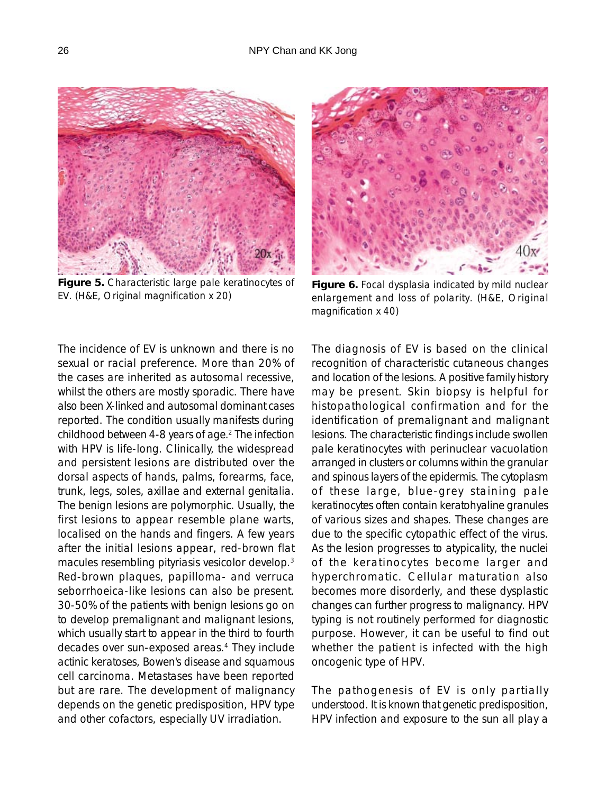

**Figure 5.** Characteristic large pale keratinocytes of EV. (H&E, Original magnification x 20)



**Figure 6.** Focal dysplasia indicated by mild nuclear enlargement and loss of polarity. (H&E, Original magnification x 40)

The incidence of EV is unknown and there is no sexual or racial preference. More than 20% of the cases are inherited as autosomal recessive, whilst the others are mostly sporadic. There have also been X-linked and autosomal dominant cases reported. The condition usually manifests during childhood between 4-8 years of age.<sup>2</sup> The infection with HPV is life-long. Clinically, the widespread and persistent lesions are distributed over the dorsal aspects of hands, palms, forearms, face, trunk, legs, soles, axillae and external genitalia. The benign lesions are polymorphic. Usually, the first lesions to appear resemble plane warts, localised on the hands and fingers. A few years after the initial lesions appear, red-brown flat macules resembling pityriasis vesicolor develop.3 Red-brown plaques, papilloma- and verruca seborrhoeica-like lesions can also be present. 30-50% of the patients with benign lesions go on to develop premalignant and malignant lesions, which usually start to appear in the third to fourth decades over sun-exposed areas.4 They include actinic keratoses, Bowen's disease and squamous cell carcinoma. Metastases have been reported but are rare. The development of malignancy depends on the genetic predisposition, HPV type and other cofactors, especially UV irradiation.

The diagnosis of EV is based on the clinical recognition of characteristic cutaneous changes and location of the lesions. A positive family history may be present. Skin biopsy is helpful for histopathological confirmation and for the identification of premalignant and malignant lesions. The characteristic findings include swollen pale keratinocytes with perinuclear vacuolation arranged in clusters or columns within the granular and spinous layers of the epidermis. The cytoplasm of these large, blue-grey staining pale keratinocytes often contain keratohyaline granules of various sizes and shapes. These changes are due to the specific cytopathic effect of the virus. As the lesion progresses to atypicality, the nuclei of the keratinocytes become larger and hyperchromatic. Cellular maturation also becomes more disorderly, and these dysplastic changes can further progress to malignancy. HPV typing is not routinely performed for diagnostic purpose. However, it can be useful to find out whether the patient is infected with the high oncogenic type of HPV.

The pathogenesis of EV is only partially understood. It is known that genetic predisposition, HPV infection and exposure to the sun all play a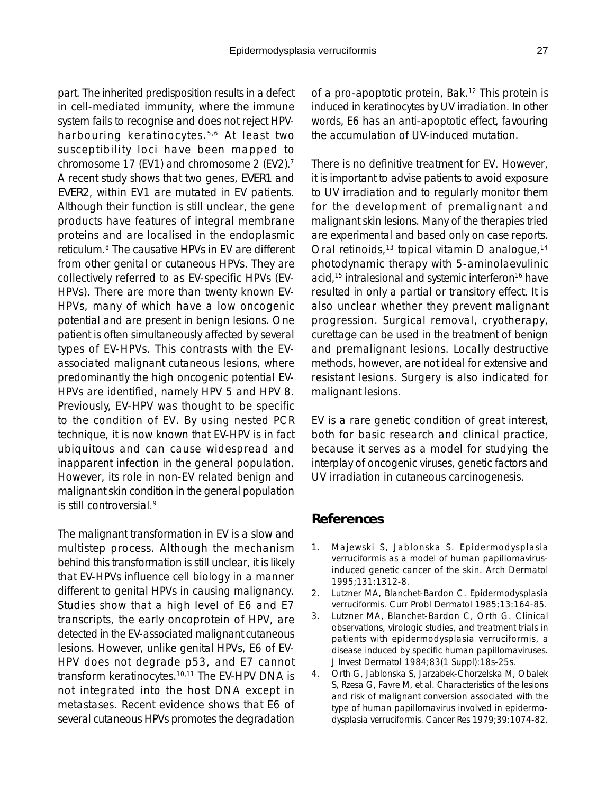part. The inherited predisposition results in a defect in cell-mediated immunity, where the immune system fails to recognise and does not reject HPVharbouring keratinocytes.5,6 At least two susceptibility loci have been mapped to chromosome 17 (EV1) and chromosome 2 (EV2).7 A recent study shows that two genes, *EVER1* and *EVER2*, within EV1 are mutated in EV patients. Although their function is still unclear, the gene products have features of integral membrane proteins and are localised in the endoplasmic reticulum.8 The causative HPVs in EV are different from other genital or cutaneous HPVs. They are collectively referred to as EV-specific HPVs (EV-HPVs). There are more than twenty known EV-HPVs, many of which have a low oncogenic potential and are present in benign lesions. One patient is often simultaneously affected by several types of EV-HPVs. This contrasts with the EVassociated malignant cutaneous lesions, where predominantly the high oncogenic potential EV-HPVs are identified, namely HPV 5 and HPV 8. Previously, EV-HPV was thought to be specific to the condition of EV. By using nested PCR technique, it is now known that EV-HPV is in fact ubiquitous and can cause widespread and inapparent infection in the general population. However, its role in non-EV related benign and malignant skin condition in the general population is still controversial.9

The malignant transformation in EV is a slow and multistep process. Although the mechanism behind this transformation is still unclear, it is likely that EV-HPVs influence cell biology in a manner different to genital HPVs in causing malignancy. Studies show that a high level of E6 and E7 transcripts, the early oncoprotein of HPV, are detected in the EV-associated malignant cutaneous lesions. However, unlike genital HPVs, E6 of EV-HPV does not degrade p53, and E7 cannot transform keratinocytes.10,11 The EV-HPV DNA is not integrated into the host DNA except in metastases. Recent evidence shows that E6 of several cutaneous HPVs promotes the degradation of a pro-apoptotic protein, Bak.<sup>12</sup> This protein is induced in keratinocytes by UV irradiation. In other words, E6 has an anti-apoptotic effect, favouring the accumulation of UV-induced mutation.

There is no definitive treatment for EV. However, it is important to advise patients to avoid exposure to UV irradiation and to regularly monitor them for the development of premalignant and malignant skin lesions. Many of the therapies tried are experimental and based only on case reports. Oral retinoids,<sup>13</sup> topical vitamin D analogue,<sup>14</sup> photodynamic therapy with 5-aminolaevulinic acid,<sup>15</sup> intralesional and systemic interferon<sup>16</sup> have resulted in only a partial or transitory effect. It is also unclear whether they prevent malignant progression. Surgical removal, cryotherapy, curettage can be used in the treatment of benign and premalignant lesions. Locally destructive methods, however, are not ideal for extensive and resistant lesions. Surgery is also indicated for malignant lesions.

EV is a rare genetic condition of great interest, both for basic research and clinical practice, because it serves as a model for studying the interplay of oncogenic viruses, genetic factors and UV irradiation in cutaneous carcinogenesis.

### **References**

- 1. Majewski S, Jablonska S. Epidermodysplasia verruciformis as a model of human papillomavirusinduced genetic cancer of the skin. Arch Dermatol 1995;131:1312-8.
- 2. Lutzner MA, Blanchet-Bardon C. Epidermodysplasia verruciformis. Curr Probl Dermatol 1985;13:164-85.
- 3. Lutzner MA, Blanchet-Bardon C, Orth G. Clinical observations, virologic studies, and treatment trials in patients with epidermodysplasia verruciformis, a disease induced by specific human papillomaviruses. J Invest Dermatol 1984;83(1 Suppl):18s-25s.
- 4. Orth G, Jablonska S, Jarzabek-Chorzelska M, Obalek S, Rzesa G, Favre M, et al. Characteristics of the lesions and risk of malignant conversion associated with the type of human papillomavirus involved in epidermodysplasia verruciformis. Cancer Res 1979;39:1074-82.